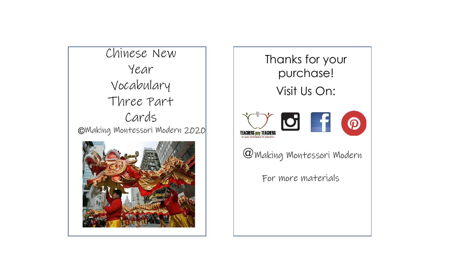Making Montessori Modern 2020 Chinese New Year Vocabulary Three Part Cards



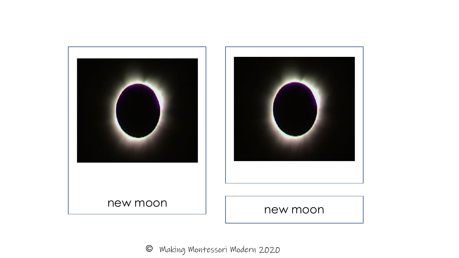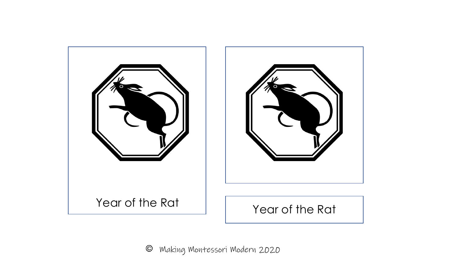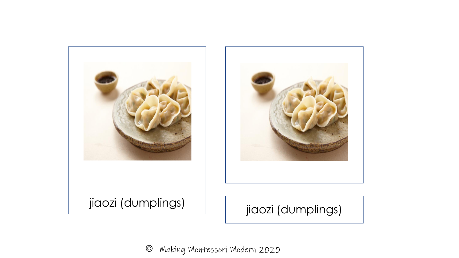

 $\odot$ Making Montessori Modern 2020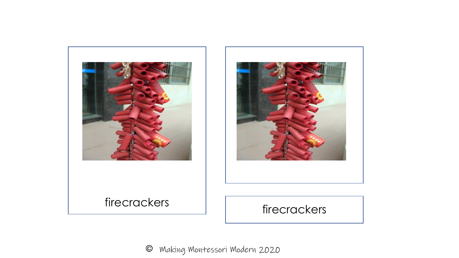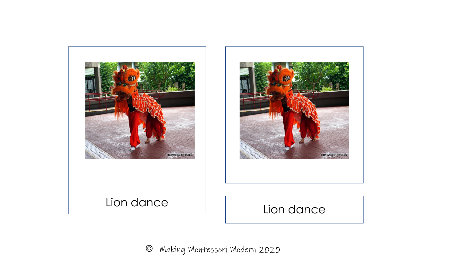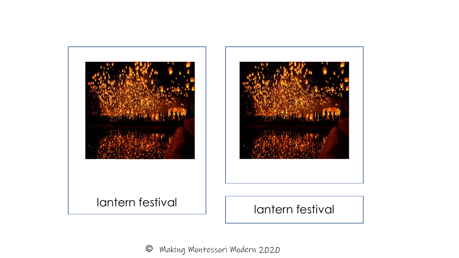

 $\odot$ Making Montessori Modern 2020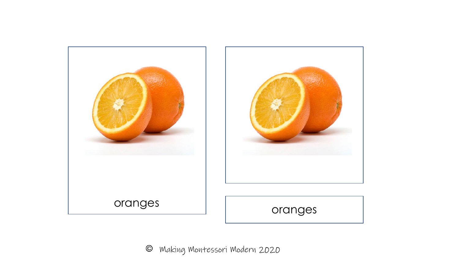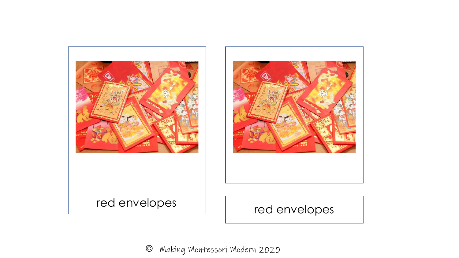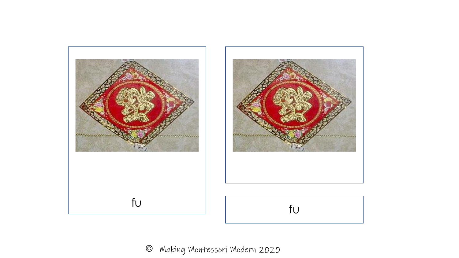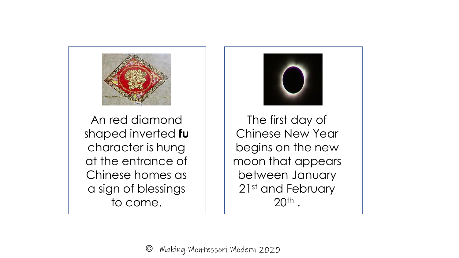

An red diamond shaped inverted **fu** character is hung at the entrance of Chinese homes as a sign of blessings to come.



The first day of Chinese New Year begins on the new moon that appears between January 21st and February  $20<sup>th</sup>$ .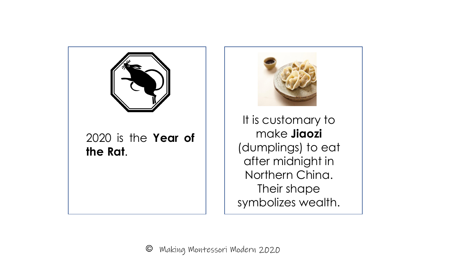

2020 is the **Year of the Rat**.



It is customary to make **Jiaozi** (dumplings) to eat after midnight in Northern China. Their shape symbolizes wealth.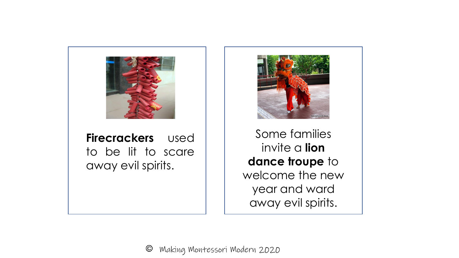

**Firecrackers** used to be lit to scare away evil spirits.



Some families invite a **lion dance troupe** to welcome the new year and ward away evil spirits.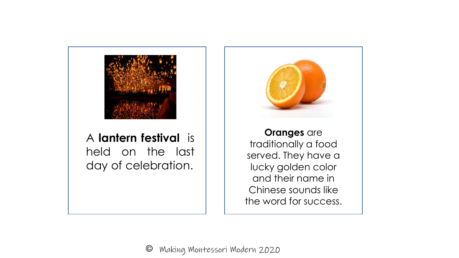

A **lantern festival** is held on the last day of celebration.

**Oranges** are traditionally a food served. They have a lucky golden color and their name in Chinese sounds like the word for success.